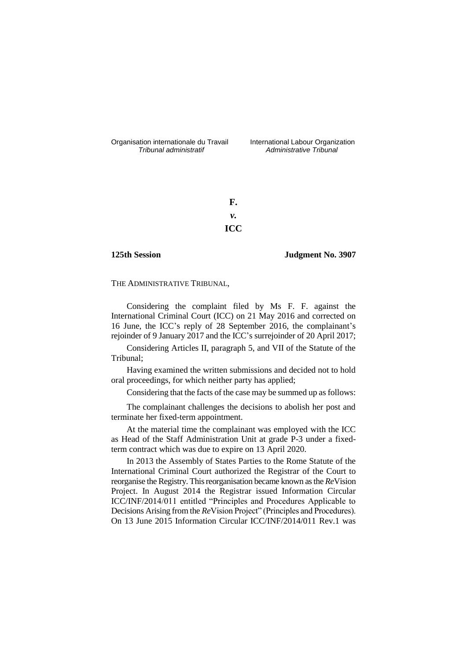Organisation internationale du Travail International Labour Organization<br>*Tribunal administratif Administrative Tribunal* 

*Tribunal administratif Administrative Tribunal*

**F.** *v.* **ICC**

**125th Session Judgment No. 3907**

THE ADMINISTRATIVE TRIBUNAL,

Considering the complaint filed by Ms F. F. against the International Criminal Court (ICC) on 21 May 2016 and corrected on 16 June, the ICC's reply of 28 September 2016, the complainant's rejoinder of 9 January 2017 and the ICC's surrejoinder of 20 April 2017;

Considering Articles II, paragraph 5, and VII of the Statute of the Tribunal;

Having examined the written submissions and decided not to hold oral proceedings, for which neither party has applied;

Considering that the facts of the case may be summed up as follows:

The complainant challenges the decisions to abolish her post and terminate her fixed-term appointment.

At the material time the complainant was employed with the ICC as Head of the Staff Administration Unit at grade P-3 under a fixedterm contract which was due to expire on 13 April 2020.

In 2013 the Assembly of States Parties to the Rome Statute of the International Criminal Court authorized the Registrar of the Court to reorganise the Registry. This reorganisation became known as the *Re*Vision Project. In August 2014 the Registrar issued Information Circular ICC/INF/2014/011 entitled "Principles and Procedures Applicable to Decisions Arising from the *Re*Vision Project" (Principles and Procedures). On 13 June 2015 Information Circular ICC/INF/2014/011 Rev.1 was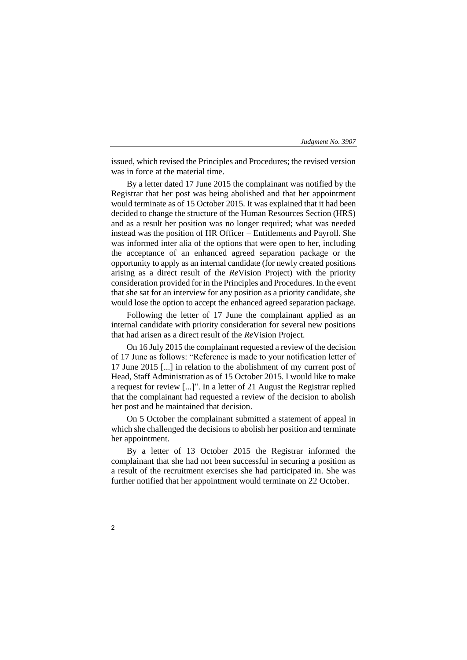issued, which revised the Principles and Procedures; the revised version was in force at the material time.

By a letter dated 17 June 2015 the complainant was notified by the Registrar that her post was being abolished and that her appointment would terminate as of 15 October 2015. It was explained that it had been decided to change the structure of the Human Resources Section (HRS) and as a result her position was no longer required; what was needed instead was the position of HR Officer – Entitlements and Payroll. She was informed inter alia of the options that were open to her, including the acceptance of an enhanced agreed separation package or the opportunity to apply as an internal candidate (for newly created positions arising as a direct result of the *Re*Vision Project) with the priority consideration provided for in the Principles and Procedures. In the event that she sat for an interview for any position as a priority candidate, she would lose the option to accept the enhanced agreed separation package.

Following the letter of 17 June the complainant applied as an internal candidate with priority consideration for several new positions that had arisen as a direct result of the *Re*Vision Project.

On 16 July 2015 the complainant requested a review of the decision of 17 June as follows: "Reference is made to your notification letter of 17 June 2015 [...] in relation to the abolishment of my current post of Head, Staff Administration as of 15 October 2015. I would like to make a request for review [...]". In a letter of 21 August the Registrar replied that the complainant had requested a review of the decision to abolish her post and he maintained that decision.

On 5 October the complainant submitted a statement of appeal in which she challenged the decisions to abolish her position and terminate her appointment.

By a letter of 13 October 2015 the Registrar informed the complainant that she had not been successful in securing a position as a result of the recruitment exercises she had participated in. She was further notified that her appointment would terminate on 22 October.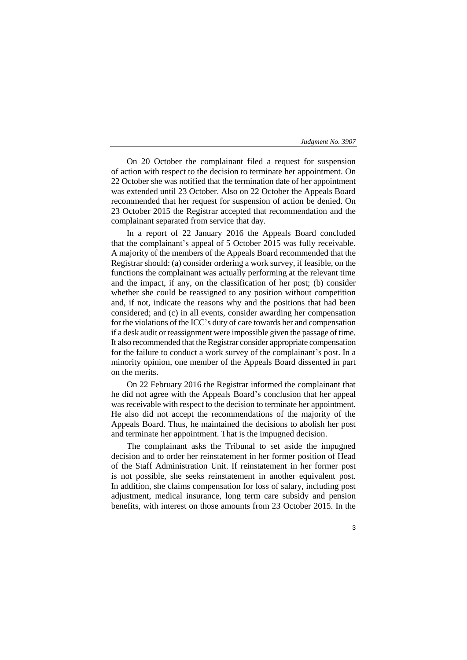On 20 October the complainant filed a request for suspension of action with respect to the decision to terminate her appointment. On 22 October she was notified that the termination date of her appointment was extended until 23 October. Also on 22 October the Appeals Board recommended that her request for suspension of action be denied. On 23 October 2015 the Registrar accepted that recommendation and the complainant separated from service that day.

In a report of 22 January 2016 the Appeals Board concluded that the complainant's appeal of 5 October 2015 was fully receivable. A majority of the members of the Appeals Board recommended that the Registrar should: (a) consider ordering a work survey, if feasible, on the functions the complainant was actually performing at the relevant time and the impact, if any, on the classification of her post; (b) consider whether she could be reassigned to any position without competition and, if not, indicate the reasons why and the positions that had been considered; and (c) in all events, consider awarding her compensation for the violations of the ICC's duty of care towards her and compensation if a desk audit or reassignment were impossible given the passage of time. It also recommended that the Registrar consider appropriate compensation for the failure to conduct a work survey of the complainant's post. In a minority opinion, one member of the Appeals Board dissented in part on the merits.

On 22 February 2016 the Registrar informed the complainant that he did not agree with the Appeals Board's conclusion that her appeal was receivable with respect to the decision to terminate her appointment. He also did not accept the recommendations of the majority of the Appeals Board. Thus, he maintained the decisions to abolish her post and terminate her appointment. That is the impugned decision.

The complainant asks the Tribunal to set aside the impugned decision and to order her reinstatement in her former position of Head of the Staff Administration Unit. If reinstatement in her former post is not possible, she seeks reinstatement in another equivalent post. In addition, she claims compensation for loss of salary, including post adjustment, medical insurance, long term care subsidy and pension benefits, with interest on those amounts from 23 October 2015. In the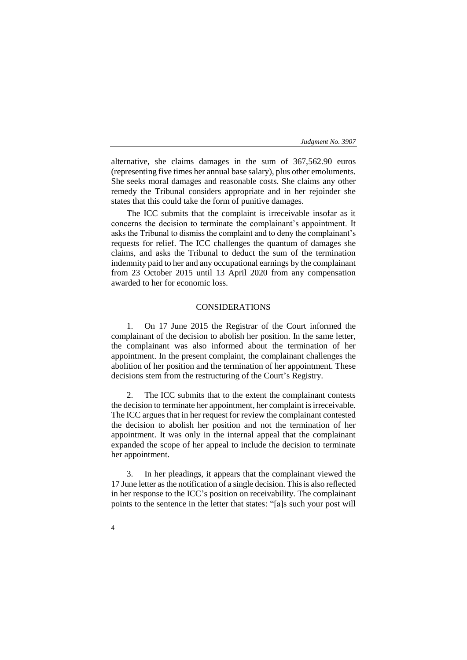alternative, she claims damages in the sum of 367,562.90 euros (representing five times her annual base salary), plus other emoluments. She seeks moral damages and reasonable costs. She claims any other remedy the Tribunal considers appropriate and in her rejoinder she states that this could take the form of punitive damages.

The ICC submits that the complaint is irreceivable insofar as it concerns the decision to terminate the complainant's appointment. It asks the Tribunal to dismiss the complaint and to deny the complainant's requests for relief. The ICC challenges the quantum of damages she claims, and asks the Tribunal to deduct the sum of the termination indemnity paid to her and any occupational earnings by the complainant from 23 October 2015 until 13 April 2020 from any compensation awarded to her for economic loss.

# CONSIDERATIONS

1. On 17 June 2015 the Registrar of the Court informed the complainant of the decision to abolish her position. In the same letter, the complainant was also informed about the termination of her appointment. In the present complaint, the complainant challenges the abolition of her position and the termination of her appointment. These decisions stem from the restructuring of the Court's Registry.

2. The ICC submits that to the extent the complainant contests the decision to terminate her appointment, her complaint is irreceivable. The ICC argues that in her request for review the complainant contested the decision to abolish her position and not the termination of her appointment. It was only in the internal appeal that the complainant expanded the scope of her appeal to include the decision to terminate her appointment.

3. In her pleadings, it appears that the complainant viewed the 17 June letter as the notification of a single decision. This is also reflected in her response to the ICC's position on receivability. The complainant points to the sentence in the letter that states: "[a]s such your post will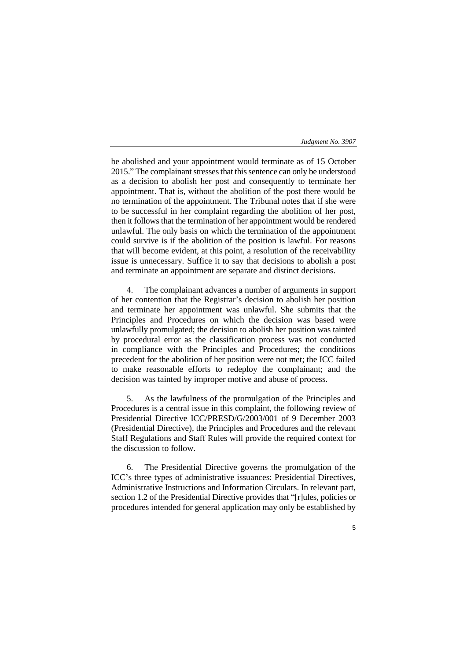5

be abolished and your appointment would terminate as of 15 October 2015." The complainant stresses that this sentence can only be understood as a decision to abolish her post and consequently to terminate her appointment. That is, without the abolition of the post there would be no termination of the appointment. The Tribunal notes that if she were to be successful in her complaint regarding the abolition of her post, then it follows that the termination of her appointment would be rendered unlawful. The only basis on which the termination of the appointment could survive is if the abolition of the position is lawful. For reasons that will become evident, at this point, a resolution of the receivability issue is unnecessary. Suffice it to say that decisions to abolish a post and terminate an appointment are separate and distinct decisions.

4. The complainant advances a number of arguments in support of her contention that the Registrar's decision to abolish her position and terminate her appointment was unlawful. She submits that the Principles and Procedures on which the decision was based were unlawfully promulgated; the decision to abolish her position was tainted by procedural error as the classification process was not conducted in compliance with the Principles and Procedures; the conditions precedent for the abolition of her position were not met; the ICC failed to make reasonable efforts to redeploy the complainant; and the decision was tainted by improper motive and abuse of process.

5. As the lawfulness of the promulgation of the Principles and Procedures is a central issue in this complaint, the following review of Presidential Directive ICC/PRESD/G/2003/001 of 9 December 2003 (Presidential Directive), the Principles and Procedures and the relevant Staff Regulations and Staff Rules will provide the required context for the discussion to follow.

6. The Presidential Directive governs the promulgation of the ICC's three types of administrative issuances: Presidential Directives, Administrative Instructions and Information Circulars. In relevant part, section 1.2 of the Presidential Directive provides that "[r]ules, policies or procedures intended for general application may only be established by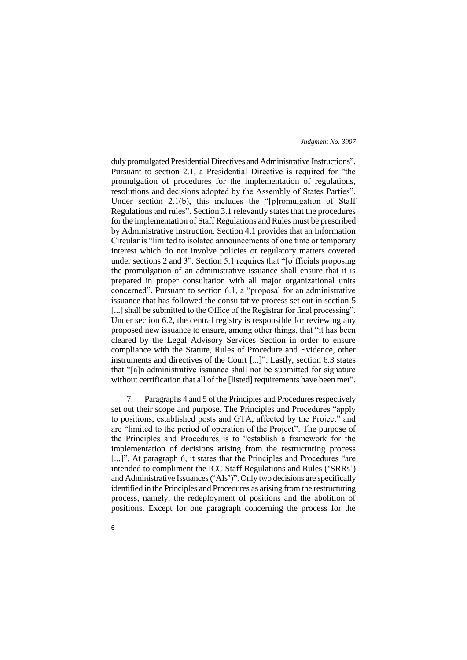duly promulgated Presidential Directives and Administrative Instructions". Pursuant to section 2.1, a Presidential Directive is required for "the promulgation of procedures for the implementation of regulations, resolutions and decisions adopted by the Assembly of States Parties". Under section 2.1(b), this includes the "[p]romulgation of Staff Regulations and rules". Section 3.1 relevantly states that the procedures for the implementation of Staff Regulations and Rules must be prescribed by Administrative Instruction. Section 4.1 provides that an Information Circular is "limited to isolated announcements of one time or temporary interest which do not involve policies or regulatory matters covered under sections 2 and 3". Section 5.1 requires that "[o]fficials proposing the promulgation of an administrative issuance shall ensure that it is prepared in proper consultation with all major organizational units concerned". Pursuant to section 6.1, a "proposal for an administrative issuance that has followed the consultative process set out in section 5 [...] shall be submitted to the Office of the Registrar for final processing". Under section 6.2, the central registry is responsible for reviewing any proposed new issuance to ensure, among other things, that "it has been cleared by the Legal Advisory Services Section in order to ensure compliance with the Statute, Rules of Procedure and Evidence, other instruments and directives of the Court [...]". Lastly, section 6.3 states that "[a]n administrative issuance shall not be submitted for signature without certification that all of the [listed] requirements have been met".

7. Paragraphs 4 and 5 of the Principles and Procedures respectively set out their scope and purpose. The Principles and Procedures "apply to positions, established posts and GTA, affected by the Project" and are "limited to the period of operation of the Project". The purpose of the Principles and Procedures is to "establish a framework for the implementation of decisions arising from the restructuring process [...]". At paragraph 6, it states that the Principles and Procedures "are intended to compliment the ICC Staff Regulations and Rules ('SRRs') and Administrative Issuances ('AIs')". Only two decisions are specifically identified in the Principles and Procedures as arising from the restructuring process, namely, the redeployment of positions and the abolition of positions. Except for one paragraph concerning the process for the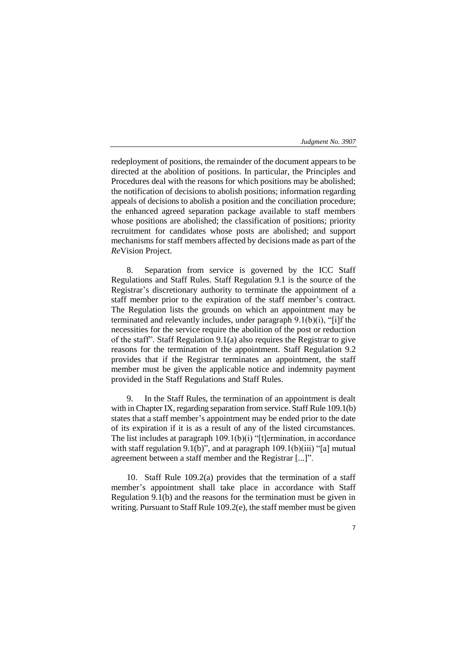redeployment of positions, the remainder of the document appears to be directed at the abolition of positions. In particular, the Principles and Procedures deal with the reasons for which positions may be abolished; the notification of decisions to abolish positions; information regarding appeals of decisions to abolish a position and the conciliation procedure; the enhanced agreed separation package available to staff members whose positions are abolished; the classification of positions; priority recruitment for candidates whose posts are abolished; and support mechanisms for staff members affected by decisions made as part of the *Re*Vision Project.

8. Separation from service is governed by the ICC Staff Regulations and Staff Rules. Staff Regulation 9.1 is the source of the Registrar's discretionary authority to terminate the appointment of a staff member prior to the expiration of the staff member's contract. The Regulation lists the grounds on which an appointment may be terminated and relevantly includes, under paragraph 9.1(b)(i), "[i]f the necessities for the service require the abolition of the post or reduction of the staff". Staff Regulation 9.1(a) also requires the Registrar to give reasons for the termination of the appointment. Staff Regulation 9.2 provides that if the Registrar terminates an appointment, the staff member must be given the applicable notice and indemnity payment provided in the Staff Regulations and Staff Rules.

9. In the Staff Rules, the termination of an appointment is dealt with in Chapter IX, regarding separation from service. Staff Rule 109.1(b) states that a staff member's appointment may be ended prior to the date of its expiration if it is as a result of any of the listed circumstances. The list includes at paragraph 109.1(b)(i) "[t]ermination, in accordance with staff regulation 9.1(b)", and at paragraph  $109.1(b)(iii)$  "[a] mutual agreement between a staff member and the Registrar [...]".

10. Staff Rule 109.2(a) provides that the termination of a staff member's appointment shall take place in accordance with Staff Regulation 9.1(b) and the reasons for the termination must be given in writing. Pursuant to Staff Rule 109.2(e), the staff member must be given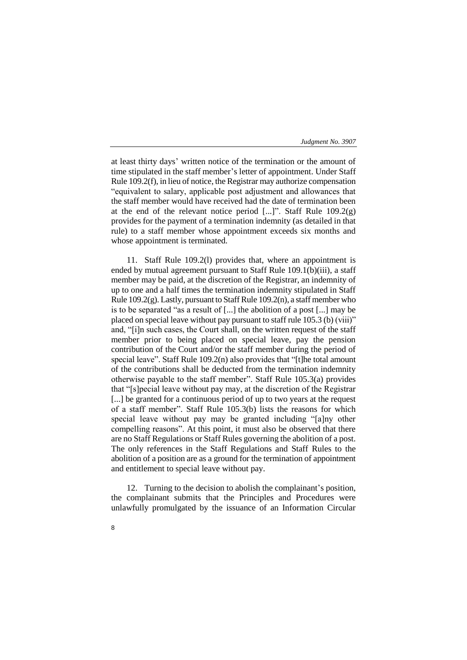at least thirty days' written notice of the termination or the amount of time stipulated in the staff member's letter of appointment. Under Staff Rule 109.2(f), in lieu of notice, the Registrar may authorize compensation "equivalent to salary, applicable post adjustment and allowances that the staff member would have received had the date of termination been at the end of the relevant notice period  $[...]$ . Staff Rule 109.2(g) provides for the payment of a termination indemnity (as detailed in that rule) to a staff member whose appointment exceeds six months and whose appointment is terminated.

11. Staff Rule 109.2(l) provides that, where an appointment is ended by mutual agreement pursuant to Staff Rule 109.1(b)(iii), a staff member may be paid, at the discretion of the Registrar, an indemnity of up to one and a half times the termination indemnity stipulated in Staff Rule 109.2(g). Lastly, pursuant to Staff Rule 109.2(n), a staff member who is to be separated "as a result of [...] the abolition of a post [...] may be placed on special leave without pay pursuant to staff rule 105.3 (b) (viii)" and, "[i]n such cases, the Court shall, on the written request of the staff member prior to being placed on special leave, pay the pension contribution of the Court and/or the staff member during the period of special leave". Staff Rule 109.2(n) also provides that "[t]he total amount of the contributions shall be deducted from the termination indemnity otherwise payable to the staff member". Staff Rule 105.3(a) provides that "[s]pecial leave without pay may, at the discretion of the Registrar [...] be granted for a continuous period of up to two years at the request of a staff member". Staff Rule 105.3(b) lists the reasons for which special leave without pay may be granted including "[a]ny other compelling reasons". At this point, it must also be observed that there are no Staff Regulations or Staff Rules governing the abolition of a post. The only references in the Staff Regulations and Staff Rules to the abolition of a position are as a ground for the termination of appointment and entitlement to special leave without pay.

12. Turning to the decision to abolish the complainant's position, the complainant submits that the Principles and Procedures were unlawfully promulgated by the issuance of an Information Circular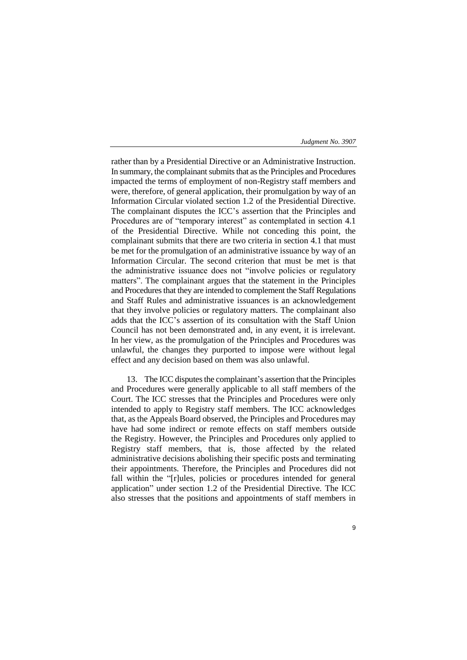rather than by a Presidential Directive or an Administrative Instruction. In summary, the complainant submits that as the Principles and Procedures impacted the terms of employment of non-Registry staff members and were, therefore, of general application, their promulgation by way of an Information Circular violated section 1.2 of the Presidential Directive. The complainant disputes the ICC's assertion that the Principles and Procedures are of "temporary interest" as contemplated in section 4.1 of the Presidential Directive. While not conceding this point, the complainant submits that there are two criteria in section 4.1 that must be met for the promulgation of an administrative issuance by way of an Information Circular. The second criterion that must be met is that the administrative issuance does not "involve policies or regulatory matters". The complainant argues that the statement in the Principles and Procedures that they are intended to complement the Staff Regulations and Staff Rules and administrative issuances is an acknowledgement that they involve policies or regulatory matters. The complainant also adds that the ICC's assertion of its consultation with the Staff Union Council has not been demonstrated and, in any event, it is irrelevant. In her view, as the promulgation of the Principles and Procedures was unlawful, the changes they purported to impose were without legal effect and any decision based on them was also unlawful.

13. The ICC disputes the complainant's assertion that the Principles and Procedures were generally applicable to all staff members of the Court. The ICC stresses that the Principles and Procedures were only intended to apply to Registry staff members. The ICC acknowledges that, as the Appeals Board observed, the Principles and Procedures may have had some indirect or remote effects on staff members outside the Registry. However, the Principles and Procedures only applied to Registry staff members, that is, those affected by the related administrative decisions abolishing their specific posts and terminating their appointments. Therefore, the Principles and Procedures did not fall within the "[r]ules, policies or procedures intended for general application" under section 1.2 of the Presidential Directive. The ICC also stresses that the positions and appointments of staff members in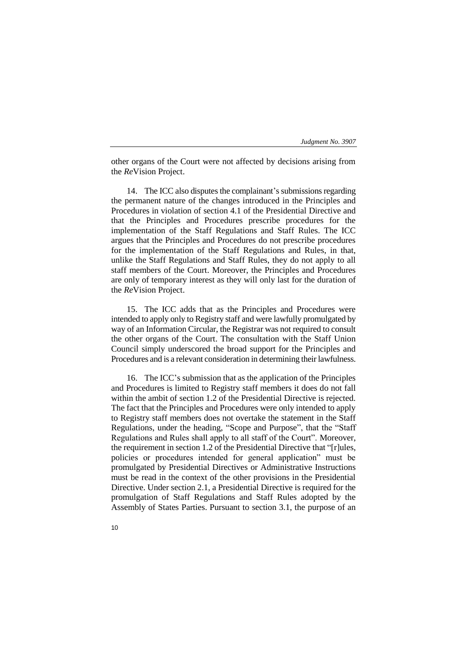other organs of the Court were not affected by decisions arising from the *Re*Vision Project.

14. The ICC also disputes the complainant's submissions regarding the permanent nature of the changes introduced in the Principles and Procedures in violation of section 4.1 of the Presidential Directive and that the Principles and Procedures prescribe procedures for the implementation of the Staff Regulations and Staff Rules. The ICC argues that the Principles and Procedures do not prescribe procedures for the implementation of the Staff Regulations and Rules, in that, unlike the Staff Regulations and Staff Rules, they do not apply to all staff members of the Court. Moreover, the Principles and Procedures are only of temporary interest as they will only last for the duration of the *Re*Vision Project.

15. The ICC adds that as the Principles and Procedures were intended to apply only to Registry staff and were lawfully promulgated by way of an Information Circular, the Registrar was not required to consult the other organs of the Court. The consultation with the Staff Union Council simply underscored the broad support for the Principles and Procedures and is a relevant consideration in determining their lawfulness.

16. The ICC's submission that as the application of the Principles and Procedures is limited to Registry staff members it does do not fall within the ambit of section 1.2 of the Presidential Directive is rejected. The fact that the Principles and Procedures were only intended to apply to Registry staff members does not overtake the statement in the Staff Regulations, under the heading, "Scope and Purpose", that the "Staff Regulations and Rules shall apply to all staff of the Court". Moreover, the requirement in section 1.2 of the Presidential Directive that "[r]ules, policies or procedures intended for general application" must be promulgated by Presidential Directives or Administrative Instructions must be read in the context of the other provisions in the Presidential Directive. Under section 2.1, a Presidential Directive is required for the promulgation of Staff Regulations and Staff Rules adopted by the Assembly of States Parties. Pursuant to section 3.1, the purpose of an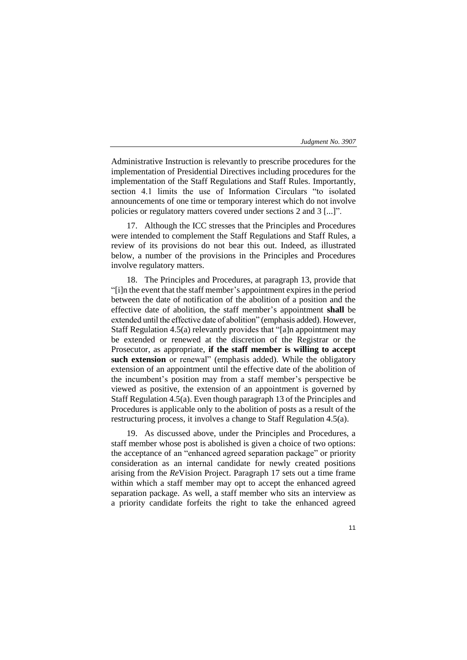Administrative Instruction is relevantly to prescribe procedures for the implementation of Presidential Directives including procedures for the implementation of the Staff Regulations and Staff Rules. Importantly, section 4.1 limits the use of Information Circulars "to isolated announcements of one time or temporary interest which do not involve policies or regulatory matters covered under sections 2 and 3 [...]".

17. Although the ICC stresses that the Principles and Procedures were intended to complement the Staff Regulations and Staff Rules, a review of its provisions do not bear this out. Indeed, as illustrated below, a number of the provisions in the Principles and Procedures involve regulatory matters.

18. The Principles and Procedures, at paragraph 13, provide that "[i]n the event that the staff member's appointment expires in the period between the date of notification of the abolition of a position and the effective date of abolition, the staff member's appointment **shall** be extended until the effective date of abolition" (emphasis added). However, Staff Regulation 4.5(a) relevantly provides that "[a]n appointment may be extended or renewed at the discretion of the Registrar or the Prosecutor, as appropriate, **if the staff member is willing to accept such extension** or renewal" (emphasis added). While the obligatory extension of an appointment until the effective date of the abolition of the incumbent's position may from a staff member's perspective be viewed as positive, the extension of an appointment is governed by Staff Regulation 4.5(a). Even though paragraph 13 of the Principles and Procedures is applicable only to the abolition of posts as a result of the restructuring process, it involves a change to Staff Regulation 4.5(a).

19. As discussed above, under the Principles and Procedures, a staff member whose post is abolished is given a choice of two options: the acceptance of an "enhanced agreed separation package" or priority consideration as an internal candidate for newly created positions arising from the *Re*Vision Project. Paragraph 17 sets out a time frame within which a staff member may opt to accept the enhanced agreed separation package. As well, a staff member who sits an interview as a priority candidate forfeits the right to take the enhanced agreed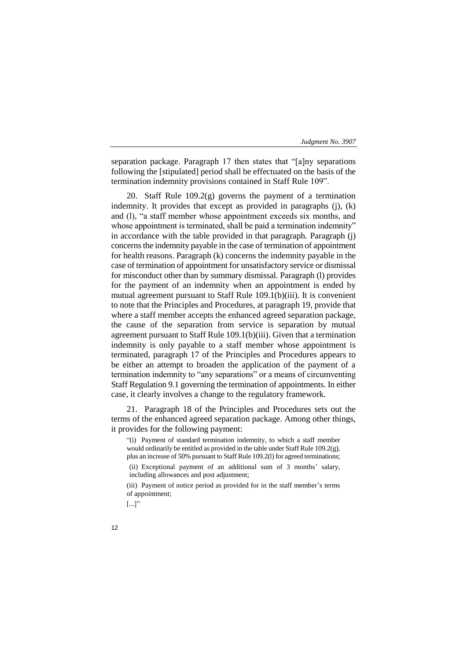separation package. Paragraph 17 then states that "[a]ny separations following the [stipulated] period shall be effectuated on the basis of the termination indemnity provisions contained in Staff Rule 109".

20. Staff Rule 109.2(g) governs the payment of a termination indemnity. It provides that except as provided in paragraphs (j), (k) and (l), "a staff member whose appointment exceeds six months, and whose appointment is terminated, shall be paid a termination indemnity" in accordance with the table provided in that paragraph. Paragraph (j) concerns the indemnity payable in the case of termination of appointment for health reasons. Paragraph (k) concerns the indemnity payable in the case of termination of appointment for unsatisfactory service or dismissal for misconduct other than by summary dismissal. Paragraph (l) provides for the payment of an indemnity when an appointment is ended by mutual agreement pursuant to Staff Rule 109.1(b)(iii). It is convenient to note that the Principles and Procedures, at paragraph 19, provide that where a staff member accepts the enhanced agreed separation package, the cause of the separation from service is separation by mutual agreement pursuant to Staff Rule 109.1(b)(iii). Given that a termination indemnity is only payable to a staff member whose appointment is terminated, paragraph 17 of the Principles and Procedures appears to be either an attempt to broaden the application of the payment of a termination indemnity to "any separations" or a means of circumventing Staff Regulation 9.1 governing the termination of appointments. In either case, it clearly involves a change to the regulatory framework.

21. Paragraph 18 of the Principles and Procedures sets out the terms of the enhanced agreed separation package. Among other things, it provides for the following payment:

"(i) Payment of standard termination indemnity, to which a staff member would ordinarily be entitled as provided in the table under Staff Rule 109.2(g), plus an increase of 50% pursuant to Staff Rule 109.2(l) for agreed terminations; (ii) Exceptional payment of an additional sum of 3 months' salary, including allowances and post adjustment;

(iii) Payment of notice period as provided for in the staff member's terms of appointment;

 $[...]$ "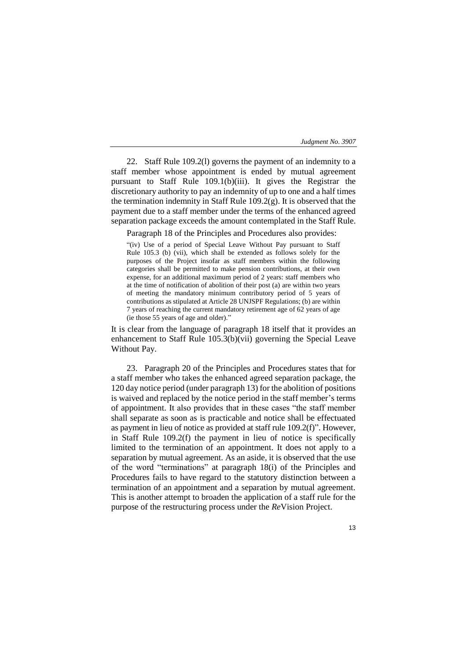22. Staff Rule 109.2(l) governs the payment of an indemnity to a staff member whose appointment is ended by mutual agreement pursuant to Staff Rule 109.1(b)(iii). It gives the Registrar the discretionary authority to pay an indemnity of up to one and a half times the termination indemnity in Staff Rule  $109.2(g)$ . It is observed that the payment due to a staff member under the terms of the enhanced agreed separation package exceeds the amount contemplated in the Staff Rule.

Paragraph 18 of the Principles and Procedures also provides:

"(iv) Use of a period of Special Leave Without Pay pursuant to Staff Rule 105.3 (b) (vii), which shall be extended as follows solely for the purposes of the Project insofar as staff members within the following categories shall be permitted to make pension contributions, at their own expense, for an additional maximum period of 2 years: staff members who at the time of notification of abolition of their post (a) are within two years of meeting the mandatory minimum contributory period of 5 years of contributions as stipulated at Article 28 UNJSPF Regulations; (b) are within 7 years of reaching the current mandatory retirement age of 62 years of age (ie those 55 years of age and older)."

It is clear from the language of paragraph 18 itself that it provides an enhancement to Staff Rule 105.3(b)(vii) governing the Special Leave Without Pay.

23. Paragraph 20 of the Principles and Procedures states that for a staff member who takes the enhanced agreed separation package, the 120 day notice period (under paragraph 13) for the abolition of positions is waived and replaced by the notice period in the staff member's terms of appointment. It also provides that in these cases "the staff member shall separate as soon as is practicable and notice shall be effectuated as payment in lieu of notice as provided at staff rule 109.2(f)". However, in Staff Rule 109.2(f) the payment in lieu of notice is specifically limited to the termination of an appointment. It does not apply to a separation by mutual agreement. As an aside, it is observed that the use of the word "terminations" at paragraph 18(i) of the Principles and Procedures fails to have regard to the statutory distinction between a termination of an appointment and a separation by mutual agreement. This is another attempt to broaden the application of a staff rule for the purpose of the restructuring process under the *Re*Vision Project.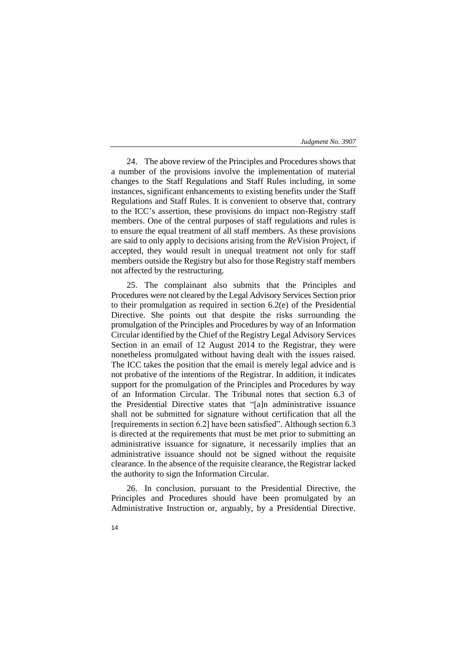24. The above review of the Principles and Procedures shows that a number of the provisions involve the implementation of material changes to the Staff Regulations and Staff Rules including, in some instances, significant enhancements to existing benefits under the Staff Regulations and Staff Rules. It is convenient to observe that, contrary to the ICC's assertion, these provisions do impact non-Registry staff members. One of the central purposes of staff regulations and rules is to ensure the equal treatment of all staff members. As these provisions are said to only apply to decisions arising from the *Re*Vision Project, if accepted, they would result in unequal treatment not only for staff members outside the Registry but also for those Registry staff members not affected by the restructuring.

25. The complainant also submits that the Principles and Procedures were not cleared by the Legal Advisory Services Section prior to their promulgation as required in section 6.2(e) of the Presidential Directive. She points out that despite the risks surrounding the promulgation of the Principles and Procedures by way of an Information Circular identified by the Chief of the Registry Legal Advisory Services Section in an email of 12 August 2014 to the Registrar, they were nonetheless promulgated without having dealt with the issues raised. The ICC takes the position that the email is merely legal advice and is not probative of the intentions of the Registrar. In addition, it indicates support for the promulgation of the Principles and Procedures by way of an Information Circular. The Tribunal notes that section 6.3 of the Presidential Directive states that "[a]n administrative issuance shall not be submitted for signature without certification that all the [requirements in section 6.2] have been satisfied". Although section 6.3 is directed at the requirements that must be met prior to submitting an administrative issuance for signature, it necessarily implies that an administrative issuance should not be signed without the requisite clearance. In the absence of the requisite clearance, the Registrar lacked the authority to sign the Information Circular.

26. In conclusion, pursuant to the Presidential Directive, the Principles and Procedures should have been promulgated by an Administrative Instruction or, arguably, by a Presidential Directive.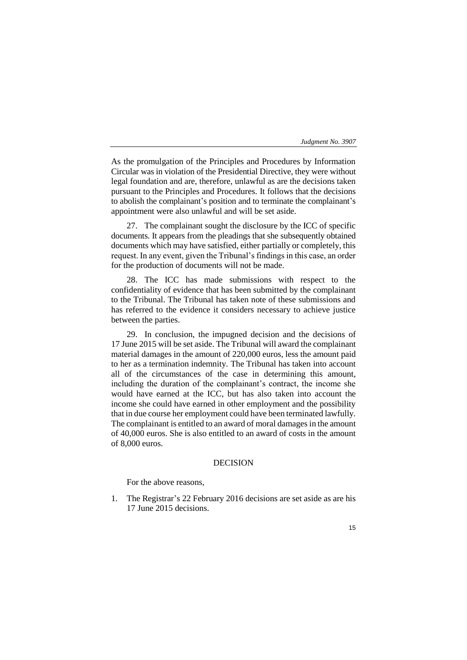As the promulgation of the Principles and Procedures by Information Circular was in violation of the Presidential Directive, they were without legal foundation and are, therefore, unlawful as are the decisions taken pursuant to the Principles and Procedures. It follows that the decisions to abolish the complainant's position and to terminate the complainant's appointment were also unlawful and will be set aside.

27. The complainant sought the disclosure by the ICC of specific documents. It appears from the pleadings that she subsequently obtained documents which may have satisfied, either partially or completely, this request. In any event, given the Tribunal's findings in this case, an order for the production of documents will not be made.

28. The ICC has made submissions with respect to the confidentiality of evidence that has been submitted by the complainant to the Tribunal. The Tribunal has taken note of these submissions and has referred to the evidence it considers necessary to achieve justice between the parties.

29. In conclusion, the impugned decision and the decisions of 17 June 2015 will be set aside. The Tribunal will award the complainant material damages in the amount of 220,000 euros, less the amount paid to her as a termination indemnity. The Tribunal has taken into account all of the circumstances of the case in determining this amount, including the duration of the complainant's contract, the income she would have earned at the ICC, but has also taken into account the income she could have earned in other employment and the possibility that in due course her employment could have been terminated lawfully. The complainant is entitled to an award of moral damages in the amount of 40,000 euros. She is also entitled to an award of costs in the amount of 8,000 euros.

# DECISION

For the above reasons,

1. The Registrar's 22 February 2016 decisions are set aside as are his 17 June 2015 decisions.